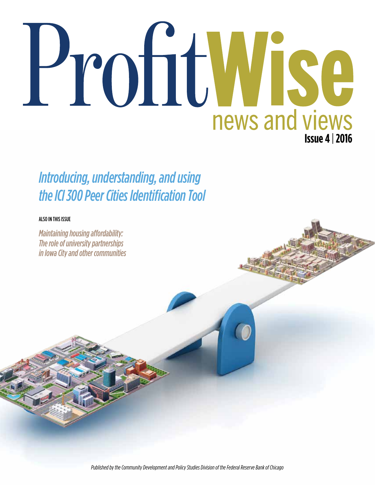# ProfitWise news and views **Issue 4** | **2016**

# *Introducing, understanding, and using the ICI 300 Peer Cities Identification Tool*

#### ALSO IN THIS ISSUE

*Maintaining housing affordability: The role of university partnerships in Iowa City and other communities*

*Published by the Community Development and Policy Studies Division of the Federal Reserve Bank of Chicago*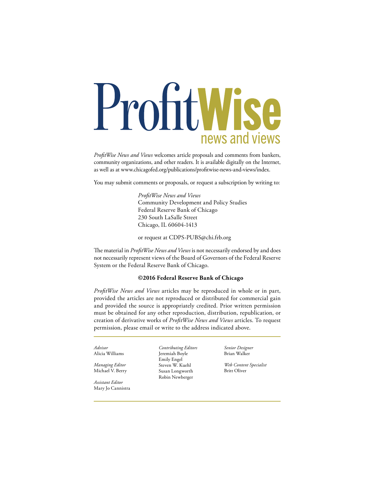# ProfitWise news and views

*ProfitWise News and Views* welcomes article proposals and comments from bankers, community organizations, and other readers. It is available digitally on the Internet, as well as at www.chicagofed.org/publications/profitwise-news-and-views/index.

You may submit comments or proposals, or request a subscription by writing to:

 *ProfitWise News and Views* Community Development and Policy Studies Federal Reserve Bank of Chicago 230 South LaSalle Street Chicago, IL 60604-1413

or request at CDPS-PUBS@chi.frb.org

The material in *ProfitWise News and Views* is not necessarily endorsed by and does not necessarily represent views of the Board of Governors of the Federal Reserve System or the Federal Reserve Bank of Chicago.

#### **©2016 Federal Reserve Bank of Chicago**

*ProfitWise News and Views* articles may be reproduced in whole or in part, provided the articles are not reproduced or distributed for commercial gain and provided the source is appropriately credited. Prior written permission must be obtained for any other reproduction, distribution, republication, or creation of derivative works of *ProfitWise News and Views* articles. To request permission, please email or write to the address indicated above.

*Advisor* Alicia Williams

*Managing Editor* Michael V. Berry

*Assistant Editor* Mary Jo Cannistra *Contributing Editors* Jeremiah Boyle Emily Engel Steven W. Kuehl Susan Longworth Robin Newberger

*Senior Designer* Brian Walker

*Web Content Specialist* Britt Oliver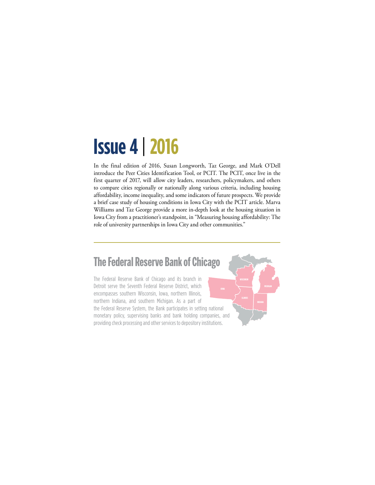# **Issue 4** | **2016**

In the final edition of 2016, Susan Longworth, Taz George, and Mark O'Dell introduce the Peer Cities Identification Tool, or PCIT. The PCIT, once live in the first quarter of 2017, will allow city leaders, researchers, policymakers, and others to compare cities regionally or nationally along various criteria, including housing affordability, income inequality, and some indicators of future prospects. We provide a brief case study of housing conditions in Iowa City with the PCIT article. Marva Williams and Taz George provide a more in-depth look at the housing situation in Iowa City from a practitioner's standpoint, in "Measuring housing affordability: The role of university partnerships in Iowa City and other communities."

## **The Federal Reserve Bank of Chicago**

The Federal Reserve Bank of Chicago and its branch in Detroit serve the Seventh Federal Reserve District, which encompasses southern Wisconsin, Iowa, northern Illinois, northern Indiana, and southern Michigan. As a part of the Federal Reserve System, the Bank participates in setting national monetary policy, supervising banks and bank holding companies, and providing check processing and other services to depository institutions.

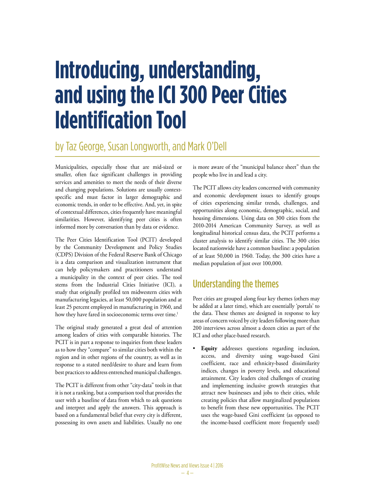# **Introducing, understanding, and using the ICI 300 Peer Cities Identification Tool**

## by Taz George, Susan Longworth, and Mark O'Dell

Municipalities, especially those that are mid-sized or smaller, often face significant challenges in providing services and amenities to meet the needs of their diverse and changing populations. Solutions are usually contextspecific and must factor in larger demographic and economic trends, in order to be effective. And, yet, in spite of contextual differences, cities frequently have meaningful similarities. However, identifying peer cities is often informed more by conversation than by data or evidence.

The Peer Cities Identification Tool (PCIT) developed by the Community Development and Policy Studies (CDPS) Division of the Federal Reserve Bank of Chicago is a data comparison and visualization instrument that can help policymakers and practitioners understand a municipality in the context of peer cities. The tool stems from the Industrial Cities Initiative (ICI), a study that originally profiled ten midwestern cities with manufacturing legacies, at least 50,000 population and at least 25 percent employed in manufacturing in 1960, and how they have fared in socioeconomic terms over time.<sup>1</sup>

The original study generated a great deal of attention among leaders of cities with comparable histories. The PCIT is in part a response to inquiries from these leaders as to how they "compare" to similar cities both within the region and in other regions of the country, as well as in response to a stated need/desire to share and learn from best practices to address entrenched municipal challenges.

The PCIT is different from other "city-data" tools in that it is not a ranking, but a comparison tool that provides the user with a baseline of data from which to ask questions and interpret and apply the answers. This approach is based on a fundamental belief that every city is different, possessing its own assets and liabilities. Usually no one is more aware of the "municipal balance sheet" than the people who live in and lead a city.

The PCIT allows city leaders concerned with community and economic development issues to identify groups of cities experiencing similar trends, challenges, and opportunities along economic, demographic, social, and housing dimensions. Using data on 300 cities from the 2010-2014 American Community Survey, as well as longitudinal historical census data, the PCIT performs a cluster analysis to identify similar cities. The 300 cities located nationwide have a common baseline: a population of at least 50,000 in 1960. Today, the 300 cities have a median population of just over 100,000.

### Understanding the themes

Peer cities are grouped along four key themes (others may be added at a later time), which are essentially 'portals' to the data. These themes are designed in response to key areas of concern voiced by city leaders following more than 200 interviews across almost a dozen cities as part of the ICI and other place-based research.

**Equity** addresses questions regarding inclusion, access, and diversity using wage-based Gini coefficient, race and ethnicity-based dissimilarity indices, changes in poverty levels, and educational attainment. City leaders cited challenges of creating and implementing inclusive growth strategies that attract new businesses and jobs to their cities, while creating policies that allow marginalized populations to benefit from these new opportunities. The PCIT uses the wage-based Gini coefficient (as opposed to the income-based coefficient more frequently used)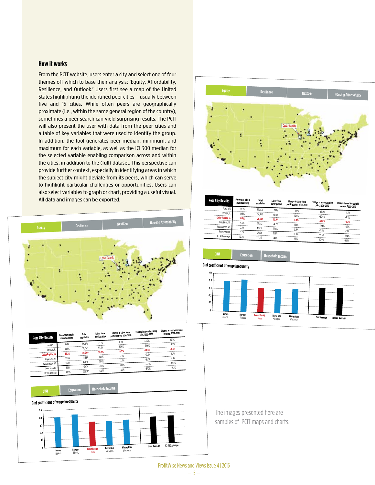#### **How it works**

From the PCIT website, users enter a city and select one of four themes off which to base their analysis: 'Equity, Affordability, Resilience, and Outlook.' Users first see a map of the United States highlighting the identified peer cities – usually between five and 15 cities. While often peers are geographically proximate (i.e., within the same general region of the country), sometimes a peer search can yield surprising results. The PCIT will also present the user with data from the peer cities and a table of key variables that were used to identify the group. In addition, the tool generates peer median, minimum, and maximum for each variable, as well as the ICI 300 median for the selected variable enabling comparison across and within the cities, in addition to the (full) dataset. This perspective can provide further context, especially in identifying areas in which the subject city might deviate from its peers, which can serve to highlight particular challenges or opportunities. Users can also select variables to graph or chart, providing a useful visual. All data and images can be exported.





| <b>Peer City Results</b> | Percent of jobs in<br>manufacturing | Total<br>population | Labor force<br>participation | Change in labor force<br>participation, 1970-2010 | Change in manufacturing<br>jobs, 1970-2010 | Change in real household<br>income, 2000-2010 |
|--------------------------|-------------------------------------|---------------------|------------------------------|---------------------------------------------------|--------------------------------------------|-----------------------------------------------|
| Aurora, IL               | 16.1%                               | 199.878             | 73.1%                        | 8.0%                                              |                                            |                                               |
| Berwyn, IL               | 14.5%                               | 56,762              | 68.9%                        |                                                   | $-63.0%$                                   | $-15.7%$                                      |
| Cedar Rapids, IA         | 16.2%                               | 128,009             |                              | 10.6%                                             | $-59.6%$                                   | $-9.7%$                                       |
| Royal Oak, MI            |                                     |                     | 70.9%                        | 6.9%                                              | $-53.8%$                                   | $-9.4%$                                       |
|                          | 15.6%                               | 58,382              | 74.7%                        | 12.1%                                             | $-50.6%$                                   |                                               |
| Wauwatosa, WI            | 12.9%                               | 46,838              | 71.4%                        | 12.4%                                             |                                            | $-9.7%$                                       |
| Peer ayerage             | 15.1%                               | 97.974              |                              |                                                   | $-51.1%$                                   | $-7.3%$                                       |
| ICI 300 average          |                                     |                     | 71.8%                        | 10.0%                                             | $-55.6%$                                   | $-10.4%$                                      |
|                          | 10.3%                               | 222.117             | 64.1%                        | 4.5%                                              | $-57.0%$                                   |                                               |
|                          |                                     |                     |                              |                                                   |                                            | $-10.1%$                                      |





The images presented here are samples of PCIT maps and charts.

#### ProfitWise News and Views Issue 4 | 2016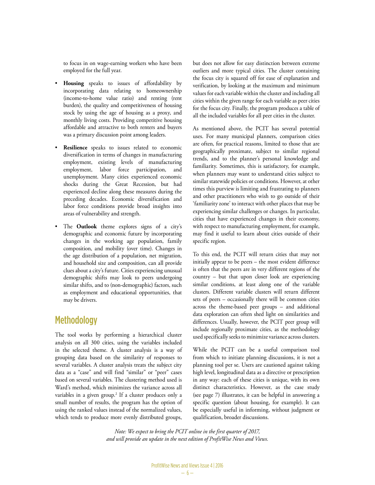to focus in on wage-earning workers who have been employed for the full year.

- **Housing** speaks to issues of affordability by incorporating data relating to homeownership (income-to-home value ratio) and renting (rent burden), the quality and competitiveness of housing stock by using the age of housing as a proxy, and monthly living costs. Providing competitive housing affordable and attractive to both renters and buyers was a primary discussion point among leaders.
- **Resilience** speaks to issues related to economic diversification in terms of changes in manufacturing employment, existing levels of manufacturing employment, labor force participation, and unemployment. Many cities experienced economic shocks during the Great Recession, but had experienced decline along these measures during the preceding decades. Economic diversification and labor force conditions provide broad insights into areas of vulnerability and strength.
- The **Outlook** theme explores signs of a city's demographic and economic future by incorporating changes in the working age population, family composition, and mobility (over time). Changes in the age distribution of a population, net migration, and household size and composition, can all provide clues about a city's future. Cities experiencing unusual demographic shifts may look to peers undergoing similar shifts, and to (non-demographic) factors, such as employment and educational opportunities, that may be drivers.

#### **Methodology**

The tool works by performing a hierarchical cluster analysis on all 300 cities, using the variables included in the selected theme. A cluster analysis is a way of grouping data based on the similarity of responses to several variables. A cluster analysis treats the subject city data as a "case" and will find "similar" or "peer" cases based on several variables. The clustering method used is Ward's method, which minimizes the variance across all variables in a given group.2 If a cluster produces only a small number of results, the program has the option of using the ranked values instead of the normalized values, which tends to produce more evenly distributed groups,

but does not allow for easy distinction between extreme outliers and more typical cities. The cluster containing the focus city is squared off for ease of explanation and verification, by looking at the maximum and minimum values for each variable within the cluster and including all cities within the given range for each variable as peer cities for the focus city. Finally, the program produces a table of all the included variables for all peer cities in the cluster.

As mentioned above, the PCIT has several potential uses. For many municipal planners, comparison cities are often, for practical reasons, limited to those that are geographically proximate, subject to similar regional trends, and to the planner's personal knowledge and familiarity. Sometimes, this is satisfactory, for example, when planners may want to understand cities subject to similar statewide policies or conditions. However, at other times this purview is limiting and frustrating to planners and other practitioners who wish to go outside of their 'familiarity zone' to interact with other places that may be experiencing similar challenges or changes. In particular, cities that have experienced changes in their economy, with respect to manufacturing employment, for example, may find it useful to learn about cities outside of their specific region.

To this end, the PCIT will return cities that may not initially appear to be peers – the most evident difference is often that the peers are in very different regions of the country – but that upon closer look are experiencing similar conditions, at least along one of the variable clusters. Different variable clusters will return different sets of peers – occasionally there will be common cities across the theme-based peer groups – and additional data exploration can often shed light on similarities and differences. Usually, however, the PCIT peer group will include regionally proximate cities, as the methodology used specifically seeks to minimize variance across clusters.

While the PCIT can be a useful comparison tool from which to initiate planning discussions, it is not a planning tool per se. Users are cautioned against taking high level, longitudinal data as a directive or prescription in any way: each of these cities is unique, with its own distinct characteristics. However, as the case study (see page 7) illustrates, it can be helpful in answering a specific question (about housing, for example). It can be especially useful in informing, without judgment or qualification, broader discussions.

*Note: We expect to bring the PCIT online in the first quarter of 2017, and will provide an update in the next edition of ProfitWise News and Views.*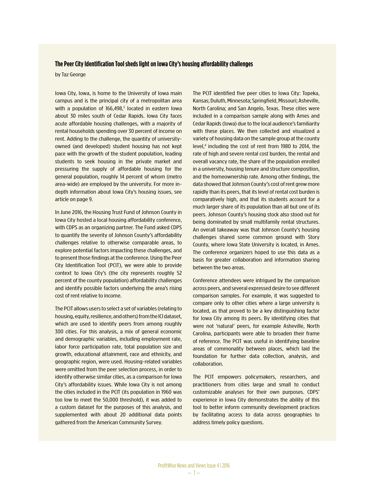#### **The Peer City Identification Tool sheds light on Iowa City's housing affordability challenges**

by Taz George

Iowa City, Iowa, is home to the University of Iowa main campus and is the principal city of a metropolitan area with a population of  $166,498$ ,<sup>3</sup> located in eastern lowa about 30 miles south of Cedar Rapids. Iowa City faces acute affordable housing challenges, with a majority of rental households spending over 30 percent of income on rent. Adding to the challenge, the quantity of universityowned (and developed) student housing has not kept pace with the growth of the student population, leading students to seek housing in the private market and pressuring the supply of affordable housing for the general population, roughly 14 percent of whom (metro area-wide) are employed by the university. For more indepth information about Iowa City's housing issues, see article on page 9.

In June 2016, the Housing Trust Fund of Johnson County in Iowa City hosted a local housing affordability conference, with CDPS as an organizing partner. The Fund asked CDPS to quantify the severity of Johnson County's affordability challenges relative to otherwise comparable areas, to explore potential factors impacting these challenges, and to present those findings at the conference. Using the Peer City Identification Tool (PCIT), we were able to provide context to Iowa City's (the city represents roughly 52 percent of the county population) affordability challenges and identify possible factors underlying the area's rising cost of rent relative to income.

The PCIT allows users to select a set of variables (relating to housing, equity, resilience, and others) from the ICI dataset, which are used to identify peers from among roughly 300 cities. For this analysis, a mix of general economic and demographic variables, including employment rate, labor force participation rate, total population size and growth, educational attainment, race and ethnicity, and geographic region, were used. Housing-related variables were omitted from the peer selection process, in order to identify otherwise similar cities, as a comparison for Iowa City's affordability issues. While Iowa City is not among the cities included in the PCIT (its population in 1960 was too low to meet the 50,000 threshold), it was added to a custom dataset for the purposes of this analysis, and supplemented with about 20 additional data points gathered from the American Community Survey.

The PCIT identified five peer cities to Iowa City: Topeka, Kansas; Duluth, Minnesota; Springfield, Missouri; Asheville, North Carolina; and San Angelo, Texas. These cities were included in a comparison sample along with Ames and Cedar Rapids (Iowa) due to the local audience's familiarity with these places. We then collected and visualized a variety of housing data on the sample group at the county level,<sup>4</sup> including the cost of rent from 1980 to 2014, the rate of high and severe rental cost burden, the rental and overall vacancy rate, the share of the population enrolled in a university, housing tenure and structure composition, and the homeownership rate. Among other findings, the data showed that Johnson County's cost of rent grew more rapidly than its peers, that its level of rental cost burden is comparatively high, and that its students account for a much larger share of its population than all but one of its peers. Johnson County's housing stock also stood out for being dominated by small multifamily rental structures. An overall takeaway was that Johnson County's housing challenges shared some common ground with Story County, where Iowa State University is located, in Ames. The conference organizers hoped to use this data as a basis for greater collaboration and information sharing between the two areas.

Conference attendees were intrigued by the comparison across peers, and several expressed desire to see different comparison samples. For example, it was suggested to compare only to other cities where a large university is located, as that proved to be a key distinguishing factor for Iowa City among its peers. By identifying cities that were not 'natural' peers, for example Asheville, North Carolina, participants were able to broaden their frame of reference. The PCIT was useful in identifying baseline areas of commonality between places, which laid the foundation for further data collection, analysis, and collaboration.

The PCIT empowers policymakers, researchers, and practitioners from cities large and small to conduct customizable analyses for their own purposes. CDPS' experience in Iowa City demonstrates the ability of this tool to better inform community development practices by facilitating access to data across geographies to address timely policy questions.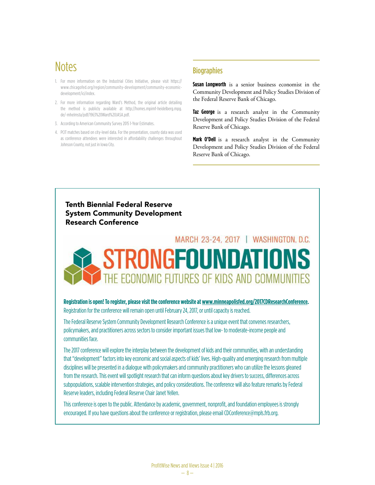# **Notes**

- 1. For more information on the Industrial Cities Initiative, please visit https:// www.chicagofed.org/region/community-development/community-economicdevelopment/ici/index.
- 2. For more information regarding Ward's Method, the original article detailing the method is publicly available at http://homes.mpimf-heidelberg.mpg. de/~mhelmsta/pdf/1963%20Ward%20JASA.pdf.
- 3. According to American Community Survey 2015 1-Year Estimates.
- 4. PCIT matches based on city-level data. For the presentation, county data was used as conference attendees were interested in affordability challenges throughout Johnson County, not just in Iowa City.

#### **Biographies**

**Susan Longworth** is a senior business economist in the Community Development and Policy Studies Division of the Federal Reserve Bank of Chicago.

**Taz George** is a research analyst in the Community Development and Policy Studies Division of the Federal Reserve Bank of Chicago.

**Mark O'Dell** is a research analyst in the Community Development and Policy Studies Division of the Federal Reserve Bank of Chicago.

#### Tenth Biennial Federal Reserve System Community Development Research Conference



**Registration is open! To register, please visit the conference website at www.minneapolisfed.org/2017CDResearchConference.**  Registration for the conference will remain open until February 24, 2017, or until capacity is reached.

The Federal Reserve System Community Development Research Conference is a unique event that convenes researchers, policymakers, and practitioners across sectors to consider important issues that low- to moderate-income people and communities face.

The 2017 conference will explore the interplay between the development of kids and their communities, with an understanding that "development" factors into key economic and social aspects of kids' lives. High-quality and emerging research from multiple disciplines will be presented in a dialogue with policymakers and community practitioners who can utilize the lessons gleaned from the research. This event will spotlight research that can inform questions about key drivers to success, differences across subpopulations, scalable intervention strategies, and policy considerations. The conference will also feature remarks by Federal Reserve leaders, including Federal Reserve Chair Janet Yellen.

This conference is open to the public. Attendance by academic, government, nonprofit, and foundation employees is strongly encouraged. If you have questions about the conference or registration, please email CDConference@mpls.frb.org.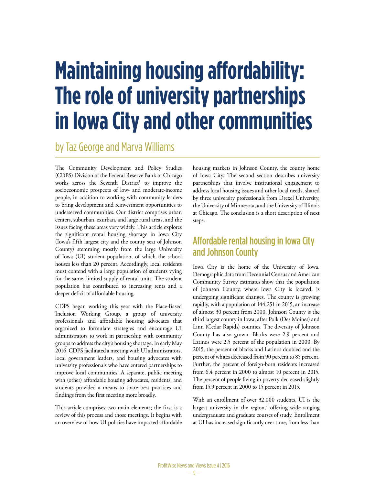# **Maintaining housing affordability: The role of university partnerships in Iowa City and other communities**

by Taz George and Marva Williams

The Community Development and Policy Studies (CDPS) Division of the Federal Reserve Bank of Chicago works across the Seventh District<sup>1</sup> to improve the socioeconomic prospects of low- and moderate-income people, in addition to working with community leaders to bring development and reinvestment opportunities to underserved communities. Our district comprises urban centers, suburban, exurban, and large rural areas, and the issues facing these areas vary widely. This article explores the significant rental housing shortage in Iowa City (Iowa's fifth largest city and the county seat of Johnson County) stemming mostly from the large University of Iowa (UI) student population, of which the school houses less than 20 percent. Accordingly, local residents must contend with a large population of students vying for the same, limited supply of rental units. The student population has contributed to increasing rents and a deeper deficit of affordable housing.

CDPS began working this year with the Place-Based Inclusion Working Group, a group of university professionals and affordable housing advocates that organized to formulate strategies and encourage UI administrators to work in partnership with community groups to address the city's housing shortage. In early May 2016, CDPS facilitated a meeting with UI administrators, local government leaders, and housing advocates with university professionals who have entered partnerships to improve local communities. A separate, public meeting with (other) affordable housing advocates, residents, and students provided a means to share best practices and findings from the first meeting more broadly.

This article comprises two main elements; the first is a review of this process and those meetings. It begins with an overview of how UI policies have impacted affordable housing markets in Johnson County, the county home of Iowa City. The second section describes university partnerships that involve institutional engagement to address local housing issues and other local needs, shared by three university professionals from Drexel University, the University of Minnesota, and the University of Illinois at Chicago. The conclusion is a short description of next steps.

### Affordable rental housing in Iowa City and Johnson County

Iowa City is the home of the University of Iowa. Demographic data from Decennial Census and American Community Survey estimates show that the population of Johnson County, where Iowa City is located, is undergoing significant changes. The county is growing rapidly, with a population of 144,251 in 2015, an increase of almost 30 percent from 2000. Johnson County is the third largest county in Iowa, after Polk (Des Moines) and Linn (Cedar Rapids) counties. The diversity of Johnson County has also grown. Blacks were 2.9 percent and Latinos were 2.5 percent of the population in 2000. By 2015, the percent of blacks and Latinos doubled and the percent of whites decreased from 90 percent to 85 percent. Further, the percent of foreign-born residents increased from 6.4 percent in 2000 to almost 10 percent in 2015. The percent of people living in poverty decreased slightly from 15.9 percent in 2000 to 15 percent in 2015.

With an enrollment of over 32,000 students, UI is the largest university in the region,<sup>2</sup> offering wide-ranging undergraduate and graduate courses of study. Enrollment at UI has increased significantly over time, from less than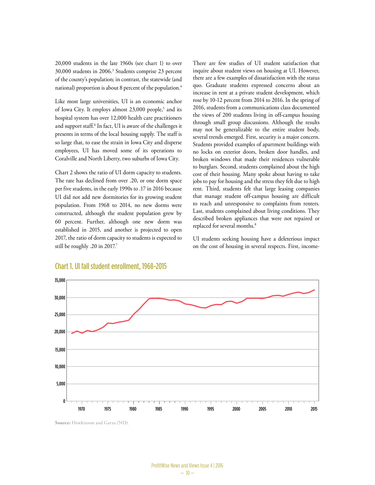20,000 students in the late 1960s (see chart 1) to over 30,000 students in 2006.3 Students comprise 23 percent of the county's population; in contrast, the statewide (and national) proportion is about 8 percent of the population.<sup>4</sup>

Like most large universities, UI is an economic anchor of Iowa City. It employs almost 23,000 people,<sup>5</sup> and its hospital system has over 12,000 health care practitioners and support staff.6 In fact, UI is aware of the challenges it presents in terms of the local housing supply. The staff is so large that, to ease the strain in Iowa City and disperse employees, UI has moved some of its operations to Coralville and North Liberty, two suburbs of Iowa City.

Chart 2 shows the ratio of UI dorm capacity to students. The rate has declined from over .20, or one dorm space per five students, in the early 1990s to .17 in 2016 because UI did not add new dormitories for its growing student population. From 1968 to 2014, no new dorms were constructed, although the student population grew by 60 percent. Further, although one new dorm was established in 2015, and another is projected to open 2017, the ratio of dorm capacity to students is expected to still be roughly .20 in 2017.<sup>7</sup>

There are few studies of UI student satisfaction that inquire about student views on housing at UI. However, there are a few examples of dissatisfaction with the status quo. Graduate students expressed concerns about an increase in rent at a private student development, which rose by 10-12 percent from 2014 to 2016. In the spring of 2016, students from a communications class documented the views of 200 students living in off-campus housing through small group discussions. Although the results may not be generalizable to the entire student body, several trends emerged. First, security is a major concern. Students provided examples of apartment buildings with no locks on exterior doors, broken door handles, and broken windows that made their residences vulnerable to burglars. Second, students complained about the high cost of their housing. Many spoke about having to take jobs to pay for housing and the stress they felt due to high rent. Third, students felt that large leasing companies that manage student off-campus housing are difficult to reach and unresponsive to complaints from renters. Last, students complained about living conditions. They described broken appliances that were not repaired or replaced for several months.<sup>8</sup>

UI students seeking housing have a deleterious impact on the cost of housing in several respects. First, income-



#### Chart 1. UI fall student enrollment, 1968-2015

**Source:** Hawkinson and Garza (ND).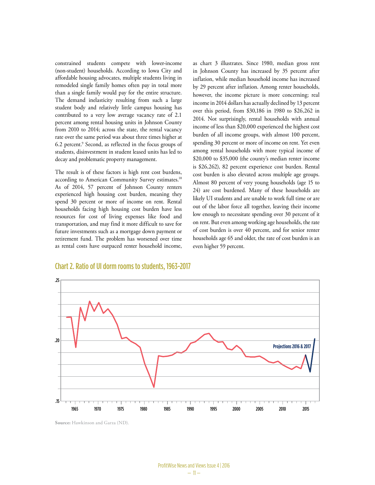constrained students compete with lower-income (non-student) households. According to Iowa City and affordable housing advocates, multiple students living in remodeled single family homes often pay in total more than a single family would pay for the entire structure. The demand inelasticity resulting from such a large student body and relatively little campus housing has contributed to a very low average vacancy rate of 2.1 percent among rental housing units in Johnson County from 2010 to 2014; across the state, the rental vacancy rate over the same period was about three times higher at 6.2 percent.9 Second, as reflected in the focus groups of students, disinvestment in student leased units has led to decay and problematic property management.

The result is of these factors is high rent cost burdens, according to American Community Survey estimates.<sup>10</sup> As of 2014, 57 percent of Johnson County renters experienced high housing cost burden, meaning they spend 30 percent or more of income on rent. Rental households facing high housing cost burden have less resources for cost of living expenses like food and transportation, and may find it more difficult to save for future investments such as a mortgage down payment or retirement fund. The problem has worsened over time as rental costs have outpaced renter household income, as chart 3 illustrates. Since 1980, median gross rent in Johnson County has increased by 35 percent after inflation, while median household income has increased by 29 percent after inflation. Among renter households, however, the income picture is more concerning; real income in 2014 dollars has actually declined by 13 percent over this period, from \$30,186 in 1980 to \$26,262 in 2014. Not surprisingly, rental households with annual income of less than \$20,000 experienced the highest cost burden of all income groups, with almost 100 percent, spending 30 percent or more of income on rent. Yet even among rental households with more typical income of \$20,000 to \$35,000 (the county's median renter income is \$26,262), 82 percent experience cost burden. Rental cost burden is also elevated across multiple age groups. Almost 80 percent of very young households (age 15 to 24) are cost burdened. Many of these households are likely UI students and are unable to work full time or are out of the labor force all together, leaving their income low enough to necessitate spending over 30 percent of it on rent. But even among working age households, the rate of cost burden is over 40 percent, and for senior renter households age 65 and older, the rate of cost burden is an even higher 59 percent.



#### Chart 2. Ratio of UI dorm rooms to students, 1963-2017

**Source:** Hawkinson and Garza (ND).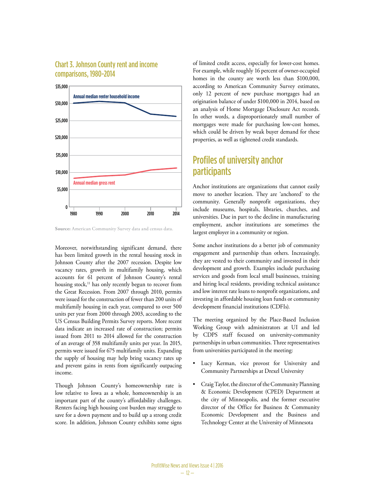#### Chart 3. Johnson County rent and income comparisons, 1980-2014



**Source:** American Community Survey data and census data.

Moreover, notwithstanding significant demand, there has been limited growth in the rental housing stock in Johnson County after the 2007 recession. Despite low vacancy rates, growth in multifamily housing, which accounts for 61 percent of Johnson County's rental housing stock,<sup>11</sup> has only recently begun to recover from the Great Recession. From 2007 through 2010, permits were issued for the construction of fewer than 200 units of multifamily housing in each year, compared to over 500 units per year from 2000 through 2003, according to the US Census Building Permits Survey reports. More recent data indicate an increased rate of construction; permits issued from 2011 to 2014 allowed for the construction of an average of 358 multifamily units per year. In 2015, permits were issued for 675 multifamily units. Expanding the supply of housing may help bring vacancy rates up and prevent gains in rents from significantly outpacing income.

Though Johnson County's homeownership rate is low relative to Iowa as a whole, homeownership is an important part of the county's affordability challenges. Renters facing high housing cost burden may struggle to save for a down payment and to build up a strong credit score. In addition, Johnson County exhibits some signs of limited credit access, especially for lower-cost homes. For example, while roughly 16 percent of owner-occupied homes in the county are worth less than \$100,000, according to American Community Survey estimates, only 12 percent of new purchase mortgages had an origination balance of under \$100,000 in 2014, based on an analysis of Home Mortgage Disclosure Act records. In other words, a disproportionately small number of mortgages were made for purchasing low-cost homes, which could be driven by weak buyer demand for these properties, as well as tightened credit standards.

#### Profiles of university anchor participants

Anchor institutions are organizations that cannot easily move to another location. They are 'anchored' to the community. Generally nonprofit organizations, they include museums, hospitals, libraries, churches, and universities. Due in part to the decline in manufacturing employment, anchor institutions are sometimes the largest employer in a community or region.

Some anchor institutions do a better job of community engagement and partnership than others. Increasingly, they are vested to their community and invested in their development and growth. Examples include purchasing services and goods from local small businesses, training and hiring local residents, providing technical assistance and low interest rate loans to nonprofit organizations, and investing in affordable housing loan funds or community development financial institutions (CDFIs).

The meeting organized by the Place-Based Inclusion Working Group with administrators at UI and led by CDPS staff focused on university-community partnerships in urban communities. Three representatives from universities participated in the meeting:

- Lucy Kerman, vice provost for University and Community Partnerships at Drexel University
- Craig Taylor, the director of the Community Planning & Economic Development (CPED) Department at the city of Minneapolis, and the former executive director of the Office for Business & Community Economic Development and the Business and Technology Center at the University of Minnesota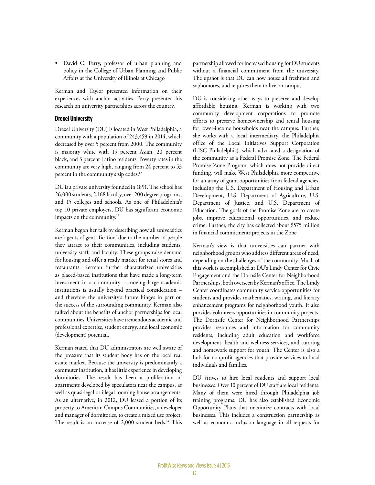• David C. Perry, professor of urban planning and policy in the College of Urban Planning and Public Affairs at the University of Illinois at Chicago

Kerman and Taylor presented information on their experiences with anchor activities. Perry presented his research on university partnerships across the country.

#### **Drexel University**

Drexel University (DU) is located in West Philadelphia, a community with a population of 243,459 in 2014, which decreased by over 5 percent from 2000. The community is majority white with 15 percent Asian, 20 percent black, and 3 percent Latino residents. Poverty rates in the community are very high, ranging from 24 percent to 53 percent in the community's zip codes.12

DU is a private university founded in 1891. The school has 26,000 students, 2,168 faculty, over 200 degree programs, and 15 colleges and schools. As one of Philadelphia's top 10 private employers, DU has significant economic impacts on the community.<sup>13</sup>

Kerman began her talk by describing how all universities are 'agents of gentrification' due to the number of people they attract to their communities, including students, university staff, and faculty. These groups raise demand for housing and offer a ready market for retail stores and restaurants. Kerman further characterized universities as placed-based institutions that have made a long-term investment in a community – moving large academic institutions is usually beyond practical consideration – and therefore the university's future hinges in part on the success of the surrounding community. Kerman also talked about the benefits of anchor partnerships for local communities. Universities have tremendous academic and professional expertise, student energy, and local economic (development) potential.

Kerman stated that DU administrators are well aware of the pressure that its student body has on the local real estate market. Because the university is predominantly a commuter institution, it has little experience in developing dormitories. The result has been a proliferation of apartments developed by speculators near the campus, as well as quasi-legal or illegal rooming house arrangements. As an alternative, in 2012, DU leased a portion of its property to American Campus Communities, a developer and manager of dormitories, to create a mixed use project. The result is an increase of 2,000 student beds.<sup>14</sup> This

partnership allowed for increased housing for DU students without a financial commitment from the university. The upshot is that DU can now house all freshmen and sophomores, and requires them to live on campus.

DU is considering other ways to preserve and develop affordable housing. Kerman is working with two community development corporations to promote efforts to preserve homeownership and rental housing for lower-income households near the campus. Further, she works with a local intermediary, the Philadelphia office of the Local Initiatives Support Corporation (LISC Philadelphia), which advocated a designation of the community as a Federal Promise Zone. The Federal Promise Zone Program, which does not provide direct funding, will make West Philadelphia more competitive for an array of grant opportunities from federal agencies, including the U.S. Department of Housing and Urban Development, U.S. Department of Agriculture, U.S. Department of Justice, and U.S. Department of Education. The goals of the Promise Zone are to create jobs, improve educational opportunities, and reduce crime. Further, the city has collected about \$575 million in financial commitments projects in the Zone.

Kerman's view is that universities can partner with neighborhood groups who address different areas of need, depending on the challenges of the community. Much of this work is accomplished at DU's Lindy Center for Civic Engagement and the Dornsife Center for Neighborhood Partnerships, both overseen by Kerman's office. The Lindy Center coordinates community service opportunities for students and provides mathematics, writing, and literacy enhancement programs for neighborhood youth. It also provides volunteers opportunities in community projects. The Dornsife Center for Neighborhood Partnerships provides resources and information for community residents, including adult education and workforce development, health and wellness services, and tutoring and homework support for youth. The Center is also a hub for nonprofit agencies that provide services to local individuals and families.

DU strives to hire local residents and support local businesses. Over 10 percent of DU staff are local residents. Many of them were hired through Philadelphia job training programs. DU has also established Economic Opportunity Plans that maximize contracts with local businesses. This includes a construction partnership as well as economic inclusion language in all requests for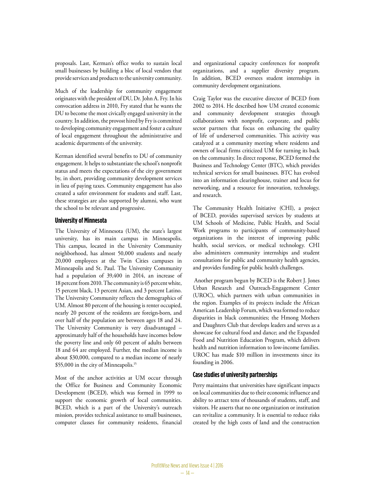proposals. Last, Kerman's office works to sustain local small businesses by building a bloc of local vendors that provide services and products to the university community.

Much of the leadership for community engagement originates with the president of DU, Dr. John A. Fry. In his convocation address in 2010, Fry stated that he wants the DU to become the most civically engaged university in the country. In addition, the provost hired by Fry is committed to developing community engagement and foster a culture of local engagement throughout the administrative and academic departments of the university.

Kerman identified several benefits to DU of community engagement. It helps to substantiate the school's nonprofit status and meets the expectations of the city government by, in short, providing community development services in lieu of paying taxes. Community engagement has also created a safer environment for students and staff. Last, these strategies are also supported by alumni, who want the school to be relevant and progressive.

#### **University of Minnesota**

The University of Minnesota (UM), the state's largest university, has its main campus in Minneapolis. This campus, located in the University Community neighborhood, has almost 50,000 students and nearly 20,000 employees at the Twin Cities campuses in Minneapolis and St. Paul. The University Community had a population of 39,400 in 2014, an increase of 18 percent from 2010. The community is 65 percent white, 15 percent black, 13 percent Asian, and 3 percent Latino. The University Community reflects the demographics of UM. Almost 80 percent of the housing is renter occupied, nearly 20 percent of the residents are foreign-born, and over half of the population are between ages 18 and 24. The University Community is very disadvantaged – approximately half of the households have incomes below the poverty line and only 60 percent of adults between 18 and 64 are employed. Further, the median income is about \$30,000, compared to a median income of nearly \$55,000 in the city of Minneapolis.15

Most of the anchor activities at UM occur through the Office for Business and Community Economic Development (BCED), which was formed in 1999 to support the economic growth of local communities. BCED, which is a part of the University's outreach mission, provides technical assistance to small businesses, computer classes for community residents, financial and organizational capacity conferences for nonprofit organizations, and a supplier diversity program. In addition, BCED oversees student internships in community development organizations.

Craig Taylor was the executive director of BCED from 2002 to 2014. He described how UM created economic and community development strategies through collaborations with nonprofit, corporate, and public sector partners that focus on enhancing the quality of life of underserved communities. This activity was catalyzed at a community meeting where residents and owners of local firms criticized UM for turning its back on the community. In direct response, BCED formed the Business and Technology Center (BTC), which provides technical services for small businesses. BTC has evolved into an information clearinghouse, trainer and locus for networking, and a resource for innovation, technology, and research.

The Community Health Initiative (CHI), a project of BCED, provides supervised services by students at UM Schools of Medicine, Public Health, and Social Work programs to participants of community-based organizations in the interest of improving public health, social services, or medical technology. CHI also administers community internships and student consultations for public and community health agencies, and provides funding for public health challenges.

 Another program begun by BCED is the Robert J. Jones Urban Research and Outreach-Engagement Center (UROC), which partners with urban communities in the region. Examples of its projects include the African American Leadership Forum, which was formed to reduce disparities in black communities; the Hmong Mothers and Daughters Club that develops leaders and serves as a showcase for cultural food and dance; and the Expanded Food and Nutrition Education Program, which delivers health and nutrition information to low-income families. UROC has made \$10 million in investments since its founding in 2006.

#### **Case studies of university partnerships**

Perry maintains that universities have significant impacts on local communities due to their economic influence and ability to attract tens of thousands of students, staff, and visitors. He asserts that no one organization or institution can revitalize a community. It is essential to reduce risks created by the high costs of land and the construction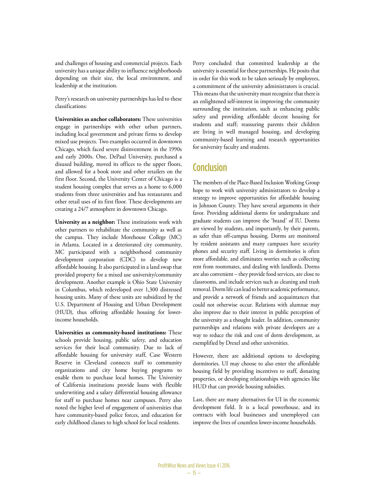and challenges of housing and commercial projects. Each university has a unique ability to influence neighborhoods depending on their size, the local environment, and leadership at the institution.

Perry's research on university partnerships has led to these classifications:

**Universities as anchor collaborators:** These universities engage in partnerships with other urban partners, including local government and private firms to develop mixed use projects. Two examples occurred in downtown Chicago, which faced severe disinvestment in the 1990s and early 2000s. One, DePaul University, purchased a disused building, moved its offices to the upper floors, and allowed for a book store and other retailers on the first floor. Second, the University Center of Chicago is a student housing complex that serves as a home to 6,000 students from three universities and has restaurants and other retail uses of its first floor. These developments are creating a 24/7 atmosphere in downtown Chicago.

**University as a neighbor:** These institutions work with other partners to rehabilitate the community as well as the campus. They include Morehouse College (MC) in Atlanta. Located in a deteriorated city community, MC participated with a neighborhood community development corporation (CDC) to develop new affordable housing. It also participated in a land swap that provided property for a mixed use university/community development. Another example is Ohio State University in Columbus, which redeveloped over 1,300 distressed housing units. Many of these units are subsidized by the U.S. Department of Housing and Urban Development (HUD), thus offering affordable housing for lowerincome households.

**Universities as community-based institutions:** These schools provide housing, public safety, and education services for their local community. Due to lack of affordable housing for university staff, Case Western Reserve in Cleveland connects staff to community organizations and city home buying programs to enable them to purchase local homes. The University of California institutions provide loans with flexible underwriting and a salary differential housing allowance for staff to purchase homes near campuses. Perry also noted the higher level of engagement of universities that have community-based police forces, and education for early childhood classes to high school for local residents.

Perry concluded that committed leadership at the university is essential for these partnerships. He posits that in order for this work to be taken seriously by employees, a commitment of the university administrators is crucial. This means that the university must recognize that there is an enlightened self-interest in improving the community surrounding the institution, such as enhancing public safety and providing affordable decent housing for students and staff; reassuring parents their children are living in well managed housing, and developing community-based learning and research opportunities for university faculty and students.

#### **Conclusion**

The members of the Place-Based Inclusion Working Group hope to work with university administrators to develop a strategy to improve opportunities for affordable housing in Johnson County. They have several arguments in their favor. Providing additional dorms for undergraduate and graduate students can improve the 'brand' of IU. Dorms are viewed by students, and importantly, by their parents, as safer than off-campus housing. Dorms are monitored by resident assistants and many campuses have security phones and security staff. Living in dormitories is often more affordable, and eliminates worries such as collecting rent from roommates, and dealing with landlords. Dorms are also convenient – they provide food services, are close to classrooms, and include services such as cleaning and trash removal. Dorm life can lead to better academic performance, and provide a network of friends and acquaintances that could not otherwise occur. Relations with alumnae may also improve due to their interest in public perception of the university as a thought leader. In addition, community partnerships and relations with private developers are a way to reduce the risk and cost of dorm development, as exemplified by Drexel and other universities.

However, there are additional options to developing dormitories. UI may choose to also enter the affordable housing field by providing incentives to staff, donating properties, or developing relationships with agencies like HUD that can provide housing subsidies.

Last, there are many alternatives for UI in the economic development field. It is a local powerhouse, and its contracts with local businesses and unemployed can improve the lives of countless lower-income households.